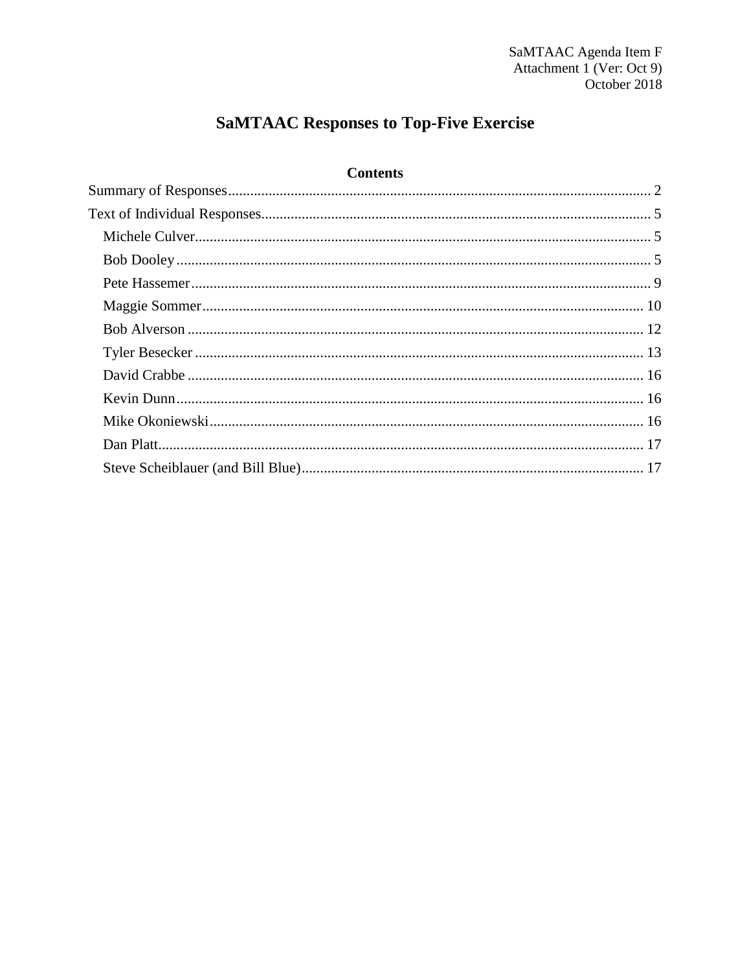# **SaMTAAC Responses to Top-Five Exercise**

# **Contents**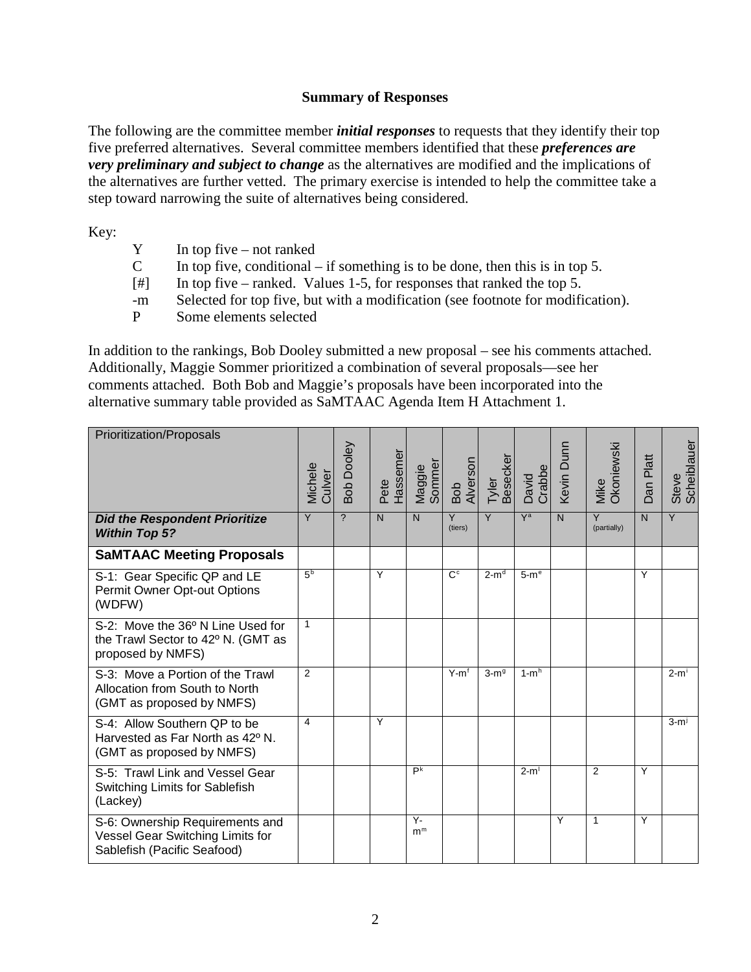#### **Summary of Responses**

<span id="page-1-0"></span>The following are the committee member *initial responses* to requests that they identify their top five preferred alternatives. Several committee members identified that these *preferences are very preliminary and subject to change* as the alternatives are modified and the implications of the alternatives are further vetted. The primary exercise is intended to help the committee take a step toward narrowing the suite of alternatives being considered.

Key:

- $Y$  In top five not ranked<br>C In top five conditional
- In top five, conditional if something is to be done, then this is in top 5.
- [#] In top five ranked. Values 1-5, for responses that ranked the top 5.
- -m Selected for top five, but with a modification (see footnote for modification).
- P Some elements selected

In addition to the rankings, Bob Dooley submitted a new proposal – see his comments attached. Additionally, Maggie Sommer prioritized a combination of several proposals—see her comments attached. Both Bob and Maggie's proposals have been incorporated into the alternative summary table provided as SaMTAAC Agenda Item H Attachment 1.

<span id="page-1-1"></span>

| Prioritization/Proposals                                                                           | Michele<br>Culver | Bob Dooley     | Pete<br>Hassemer | Maggie<br>Sommer     | Bob<br>Alverson | Besecker<br>Tyler | David<br>Crabbe  | Kevin Dunn     | Mike<br>Okoniewski            | Platt<br>Dan   | Scheiblaue<br>Steve |
|----------------------------------------------------------------------------------------------------|-------------------|----------------|------------------|----------------------|-----------------|-------------------|------------------|----------------|-------------------------------|----------------|---------------------|
| <b>Did the Respondent Prioritize</b><br><b>Within Top 5?</b>                                       | Y                 | $\overline{2}$ | $\overline{N}$   | $\mathsf{N}$         | Y<br>(tiers)    | Y                 | $\overline{Y}$ a | $\overline{N}$ | $\overline{Y}$<br>(partially) | $\overline{N}$ | $\overline{Y}$      |
| <b>SaMTAAC Meeting Proposals</b>                                                                   |                   |                |                  |                      |                 |                   |                  |                |                               |                |                     |
| S-1: Gear Specific QP and LE<br>Permit Owner Opt-out Options<br>(WDFW)                             | 5 <sup>b</sup>    |                | Y                |                      | C <sub>c</sub>  | $2-md$            | $5-me$           |                |                               | Y              |                     |
| S-2: Move the 36° N Line Used for<br>the Trawl Sector to 42° N. (GMT as<br>proposed by NMFS)       | 1                 |                |                  |                      |                 |                   |                  |                |                               |                |                     |
| S-3: Move a Portion of the Trawl<br>Allocation from South to North<br>(GMT as proposed by NMFS)    | 2                 |                |                  |                      | $Y-mf$          | $3-m9$            | $1-mh$           |                |                               |                | $2-m1$              |
| S-4: Allow Southern QP to be<br>Harvested as Far North as 42° N.<br>(GMT as proposed by NMFS)      | 4                 |                | Y                |                      |                 |                   |                  |                |                               |                | $3-mj$              |
| S-5: Trawl Link and Vessel Gear<br>Switching Limits for Sablefish<br>(Lackey)                      |                   |                |                  | P <sup>k</sup>       |                 |                   | $2-m1$           |                | 2                             | Y              |                     |
| S-6: Ownership Requirements and<br>Vessel Gear Switching Limits for<br>Sablefish (Pacific Seafood) |                   |                |                  | Υ-<br>m <sup>m</sup> |                 |                   |                  | Y              | $\mathbf{1}$                  | Y              |                     |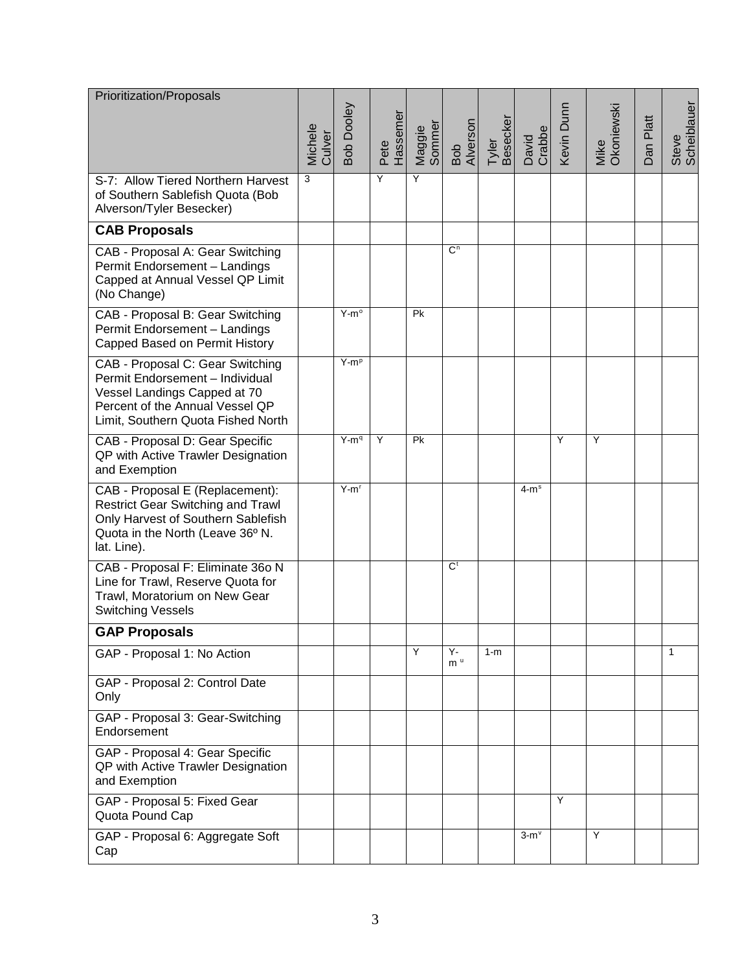| Prioritization/Proposals                                                                                                                                                     | Michele<br>Culver | Bob Dooley    | Hassemer<br>Pete | Maggie<br>Sommer | Bob<br>Alverson      | <b>Besecker</b><br>Tyler | David<br>Crabbe | Kevin Dunn | Mike<br>Okoniewski | Platt<br>Dan | Steve<br>Scheiblauer |
|------------------------------------------------------------------------------------------------------------------------------------------------------------------------------|-------------------|---------------|------------------|------------------|----------------------|--------------------------|-----------------|------------|--------------------|--------------|----------------------|
| S-7: Allow Tiered Northern Harvest<br>of Southern Sablefish Quota (Bob<br>Alverson/Tyler Besecker)                                                                           | 3                 |               | Y                | Y                |                      |                          |                 |            |                    |              |                      |
| <b>CAB Proposals</b>                                                                                                                                                         |                   |               |                  |                  |                      |                          |                 |            |                    |              |                      |
| CAB - Proposal A: Gear Switching<br>Permit Endorsement - Landings<br>Capped at Annual Vessel QP Limit<br>(No Change)                                                         |                   |               |                  |                  | $\overline{C}$       |                          |                 |            |                    |              |                      |
| CAB - Proposal B: Gear Switching<br>Permit Endorsement - Landings<br>Capped Based on Permit History                                                                          |                   | $Y-m^{\circ}$ |                  | Pk               |                      |                          |                 |            |                    |              |                      |
| CAB - Proposal C: Gear Switching<br>Permit Endorsement - Individual<br>Vessel Landings Capped at 70<br>Percent of the Annual Vessel QP<br>Limit, Southern Quota Fished North |                   | $Y-mp$        |                  |                  |                      |                          |                 |            |                    |              |                      |
| CAB - Proposal D: Gear Specific<br>QP with Active Trawler Designation<br>and Exemption                                                                                       |                   | $Y-mq$        | Y                | Pk               |                      |                          |                 | Υ          | Y                  |              |                      |
| CAB - Proposal E (Replacement):<br><b>Restrict Gear Switching and Trawl</b><br>Only Harvest of Southern Sablefish<br>Quota in the North (Leave 36° N.<br>lat. Line).         |                   | $Y-mr$        |                  |                  |                      |                          | $4-ms$          |            |                    |              |                      |
| CAB - Proposal F: Eliminate 36o N<br>Line for Trawl, Reserve Quota for<br>Trawl, Moratorium on New Gear<br><b>Switching Vessels</b>                                          |                   |               |                  |                  | $\overline{C}$       |                          |                 |            |                    |              |                      |
| <b>GAP Proposals</b>                                                                                                                                                         |                   |               |                  |                  |                      |                          |                 |            |                    |              |                      |
| GAP - Proposal 1: No Action                                                                                                                                                  |                   |               |                  | Y                | Y-<br>m <sup>u</sup> | $1-m$                    |                 |            |                    |              | 1                    |
| GAP - Proposal 2: Control Date<br>Only                                                                                                                                       |                   |               |                  |                  |                      |                          |                 |            |                    |              |                      |
| GAP - Proposal 3: Gear-Switching<br>Endorsement                                                                                                                              |                   |               |                  |                  |                      |                          |                 |            |                    |              |                      |
| GAP - Proposal 4: Gear Specific<br>QP with Active Trawler Designation<br>and Exemption                                                                                       |                   |               |                  |                  |                      |                          |                 |            |                    |              |                      |
| GAP - Proposal 5: Fixed Gear<br>Quota Pound Cap                                                                                                                              |                   |               |                  |                  |                      |                          |                 | Y          |                    |              |                      |
| GAP - Proposal 6: Aggregate Soft<br>Cap                                                                                                                                      |                   |               |                  |                  |                      |                          | $3-mv$          |            | Y                  |              |                      |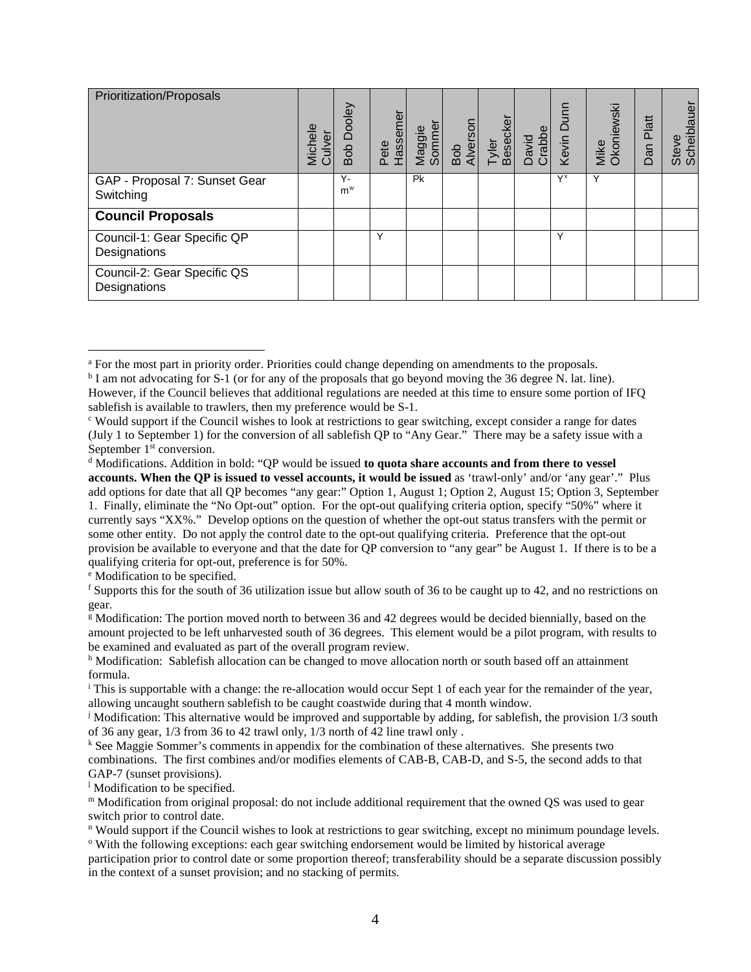<span id="page-3-17"></span><span id="page-3-16"></span><span id="page-3-15"></span>

| Prioritization/Proposals                    | Michele<br>Culver | Bob Dooley  | Hassemer<br>Pete | Maggie<br>Sommer | Bob<br>Alverson | Tyler<br>Besecker | David<br>Crabbe | Kevin Dunn | Mike<br>Okoniewski | Platt<br>Dan | Steve<br>Scheiblauer |
|---------------------------------------------|-------------------|-------------|------------------|------------------|-----------------|-------------------|-----------------|------------|--------------------|--------------|----------------------|
| GAP - Proposal 7: Sunset Gear<br>Switching  |                   | Υ-<br>$m^w$ |                  | Pk               |                 |                   |                 | $Y^x$      | Υ                  |              |                      |
| <b>Council Proposals</b>                    |                   |             |                  |                  |                 |                   |                 |            |                    |              |                      |
| Council-1: Gear Specific QP<br>Designations |                   |             | Υ                |                  |                 |                   |                 | Υ          |                    |              |                      |
| Council-2: Gear Specific QS<br>Designations |                   |             |                  |                  |                 |                   |                 |            |                    |              |                      |

<span id="page-3-4"></span><sup>e</sup> Modification to be specified.

<span id="page-3-23"></span><span id="page-3-22"></span><span id="page-3-21"></span><span id="page-3-20"></span><span id="page-3-19"></span><span id="page-3-18"></span> $\overline{a}$ 

<span id="page-3-11"></span><sup>1</sup> Modification to be specified.

<span id="page-3-0"></span><sup>a</sup> For the most part in priority order. Priorities could change depending on amendments to the proposals.

<span id="page-3-1"></span><sup>b</sup> I am not advocating for S-1 (or for any of the proposals that go beyond moving the 36 degree N. lat. line). However, if the Council believes that additional regulations are needed at this time to ensure some portion of IFQ sablefish is available to trawlers, then my preference would be S-1.

<span id="page-3-2"></span><sup>c</sup> Would support if the Council wishes to look at restrictions to gear switching, except consider a range for dates (July 1 to September 1) for the conversion of all sablefish QP to "Any Gear." There may be a safety issue with a September 1<sup>st</sup> conversion.

<span id="page-3-3"></span><sup>d</sup> Modifications. Addition in bold: "QP would be issued **to quota share accounts and from there to vessel accounts. When the QP is issued to vessel accounts, it would be issued** as 'trawl-only' and/or 'any gear'." Plus add options for date that all QP becomes "any gear:" Option 1, August 1; Option 2, August 15; Option 3, September 1. Finally, eliminate the "No Opt-out" option. For the opt-out qualifying criteria option, specify "50%" where it currently says "XX%." Develop options on the question of whether the opt-out status transfers with the permit or some other entity. Do not apply the control date to the opt-out qualifying criteria. Preference that the opt-out provision be available to everyone and that the date for QP conversion to "any gear" be August 1. If there is to be a qualifying criteria for opt-out, preference is for 50%.

<span id="page-3-5"></span><sup>&</sup>lt;sup>f</sup> Supports this for the south of 36 utilization issue but allow south of 36 to be caught up to 42, and no restrictions on gear.

<span id="page-3-6"></span><sup>g</sup> Modification: The portion moved north to between 36 and 42 degrees would be decided biennially, based on the amount projected to be left unharvested south of 36 degrees. This element would be a pilot program, with results to be examined and evaluated as part of the overall program review.

<span id="page-3-7"></span>h Modification: Sablefish allocation can be changed to move allocation north or south based off an attainment formula.

<span id="page-3-8"></span><sup>i</sup> This is supportable with a change: the re-allocation would occur Sept 1 of each year for the remainder of the year, allowing uncaught southern sablefish to be caught coastwide during that 4 month window.

<span id="page-3-9"></span><sup>&</sup>lt;sup>j</sup> Modification: This alternative would be improved and supportable by adding, for sablefish, the provision  $1/3$  south of 36 any gear, 1/3 from 36 to 42 trawl only, 1/3 north of 42 line trawl only .

<span id="page-3-10"></span><sup>k</sup> See Maggie Sommer's comments in appendix for the combination of these alternatives. She presents two combinations. The first combines and/or modifies elements of CAB-B, CAB-D, and S-5, the second adds to that GAP-7 (sunset provisions).

<span id="page-3-12"></span><sup>m</sup> Modification from original proposal: do not include additional requirement that the owned QS was used to gear switch prior to control date.

<span id="page-3-13"></span><sup>n</sup> Would support if the Council wishes to look at restrictions to gear switching, except no minimum poundage levels. <sup>o</sup> With the following exceptions: each gear switching endorsement would be limited by historical average

<span id="page-3-14"></span>participation prior to control date or some proportion thereof; transferability should be a separate discussion possibly in the context of a sunset provision; and no stacking of permits.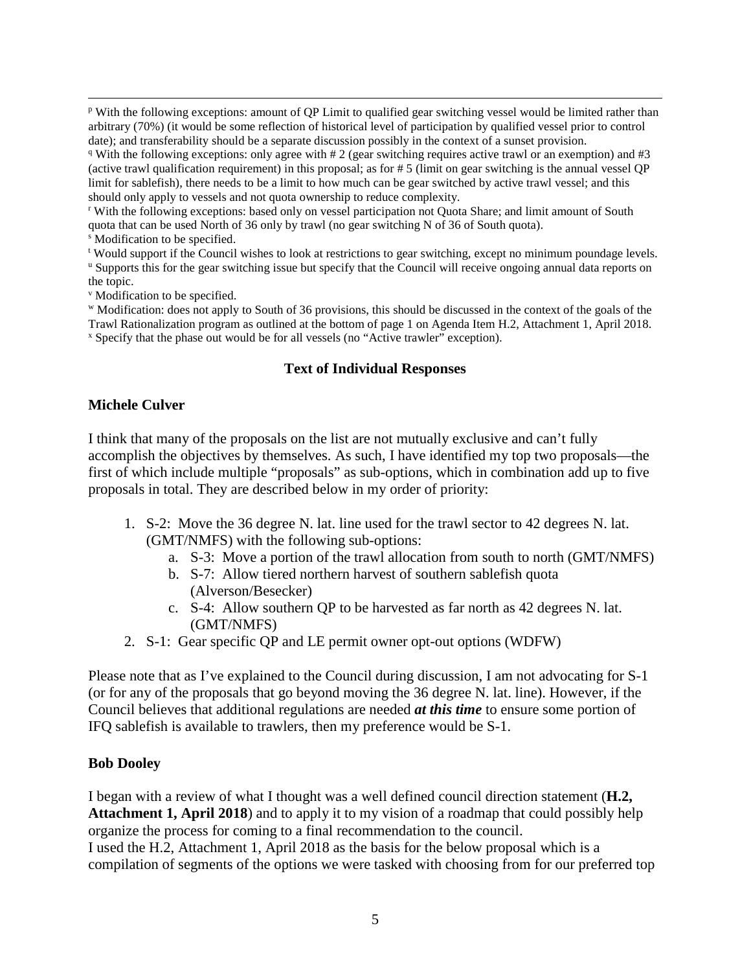p With the following exceptions: amount of QP Limit to qualified gear switching vessel would be limited rather than arbitrary (70%) (it would be some reflection of historical level of participation by qualified vessel prior to control date); and transferability should be a separate discussion possibly in the context of a sunset provision.

<sup>q</sup> With the following exceptions: only agree with  $\#2$  (gear switching requires active trawl or an exemption) and  $\#3$ (active trawl qualification requirement) in this proposal; as for # 5 (limit on gear switching is the annual vessel QP limit for sablefish), there needs to be a limit to how much can be gear switched by active trawl vessel; and this should only apply to vessels and not quota ownership to reduce complexity.

<sup>r</sup> With the following exceptions: based only on vessel participation not Quota Share; and limit amount of South quota that can be used North of 36 only by trawl (no gear switching N of 36 of South quota).

<sup>s</sup> Modification to be specified.

<sup>t</sup> Would support if the Council wishes to look at restrictions to gear switching, except no minimum poundage levels. <sup>u</sup> Supports this for the gear switching issue but specify that the Council will receive ongoing annual data reports on the topic.

<sup>v</sup> Modification to be specified.

<span id="page-4-0"></span><sup>w</sup> Modification: does not apply to South of 36 provisions, this should be discussed in the context of the goals of the Trawl Rationalization program as outlined at the bottom of page 1 on Agenda Item H.2, Attachment 1, April 2018. <sup>x</sup> Specify that the phase out would be for all vessels (no "Active trawler" exception).

## **Text of Individual Responses**

## <span id="page-4-1"></span>**Michele Culver**

I think that many of the proposals on the list are not mutually exclusive and can't fully accomplish the objectives by themselves. As such, I have identified my top two proposals—the first of which include multiple "proposals" as sub-options, which in combination add up to five proposals in total. They are described below in my order of priority:

- 1. S-2: Move the 36 degree N. lat. line used for the trawl sector to 42 degrees N. lat. (GMT/NMFS) with the following sub-options:
	- a. S-3: Move a portion of the trawl allocation from south to north (GMT/NMFS)
	- b. S-7: Allow tiered northern harvest of southern sablefish quota (Alverson/Besecker)
	- c. S-4: Allow southern QP to be harvested as far north as 42 degrees N. lat. (GMT/NMFS)
- 2. S-1: Gear specific QP and LE permit owner opt-out options (WDFW)

Please note that as I've explained to the Council during discussion, I am not advocating for S-1 (or for any of the proposals that go beyond moving the 36 degree N. lat. line). However, if the Council believes that additional regulations are needed *at this time* to ensure some portion of IFQ sablefish is available to trawlers, then my preference would be S-1.

#### <span id="page-4-2"></span>**Bob Dooley**

I began with a review of what I thought was a well defined council direction statement (**H.2, Attachment 1, April 2018**) and to apply it to my vision of a roadmap that could possibly help organize the process for coming to a final recommendation to the council.

I used the H.2, Attachment 1, April 2018 as the basis for the below proposal which is a compilation of segments of the options we were tasked with choosing from for our preferred top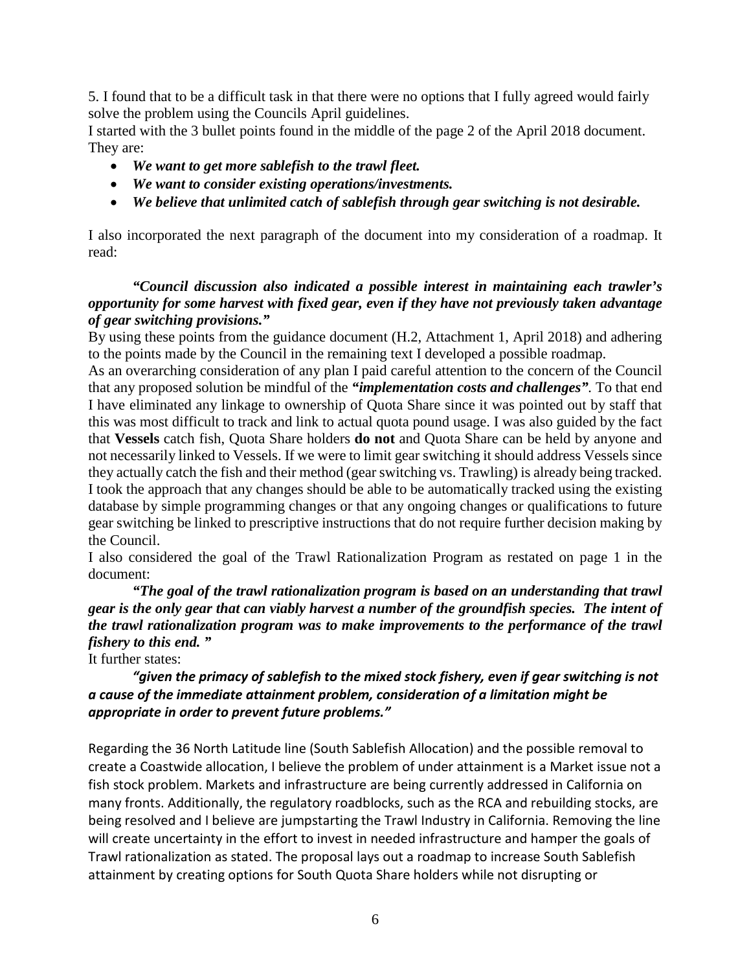5. I found that to be a difficult task in that there were no options that I fully agreed would fairly solve the problem using the Councils April guidelines.

I started with the 3 bullet points found in the middle of the page 2 of the April 2018 document. They are:

- *We want to get more sablefish to the trawl fleet.*
- *We want to consider existing operations/investments.*
- *We believe that unlimited catch of sablefish through gear switching is not desirable.*

I also incorporated the next paragraph of the document into my consideration of a roadmap. It read:

## *"Council discussion also indicated a possible interest in maintaining each trawler's opportunity for some harvest with fixed gear, even if they have not previously taken advantage of gear switching provisions."*

By using these points from the guidance document (H.2, Attachment 1, April 2018) and adhering to the points made by the Council in the remaining text I developed a possible roadmap.

As an overarching consideration of any plan I paid careful attention to the concern of the Council that any proposed solution be mindful of the *"implementation costs and challenges".* To that end I have eliminated any linkage to ownership of Quota Share since it was pointed out by staff that this was most difficult to track and link to actual quota pound usage. I was also guided by the fact that **Vessels** catch fish, Quota Share holders **do not** and Quota Share can be held by anyone and not necessarily linked to Vessels. If we were to limit gear switching it should address Vessels since they actually catch the fish and their method (gear switching vs. Trawling) is already being tracked. I took the approach that any changes should be able to be automatically tracked using the existing database by simple programming changes or that any ongoing changes or qualifications to future gear switching be linked to prescriptive instructions that do not require further decision making by the Council.

I also considered the goal of the Trawl Rationalization Program as restated on page 1 in the document:

*"The goal of the trawl rationalization program is based on an understanding that trawl gear is the only gear that can viably harvest a number of the groundfish species. The intent of the trawl rationalization program was to make improvements to the performance of the trawl fishery to this end. "* 

It further states:

# *"given the primacy of sablefish to the mixed stock fishery, even if gear switching is not a cause of the immediate attainment problem, consideration of a limitation might be appropriate in order to prevent future problems."*

Regarding the 36 North Latitude line (South Sablefish Allocation) and the possible removal to create a Coastwide allocation, I believe the problem of under attainment is a Market issue not a fish stock problem. Markets and infrastructure are being currently addressed in California on many fronts. Additionally, the regulatory roadblocks, such as the RCA and rebuilding stocks, are being resolved and I believe are jumpstarting the Trawl Industry in California. Removing the line will create uncertainty in the effort to invest in needed infrastructure and hamper the goals of Trawl rationalization as stated. The proposal lays out a roadmap to increase South Sablefish attainment by creating options for South Quota Share holders while not disrupting or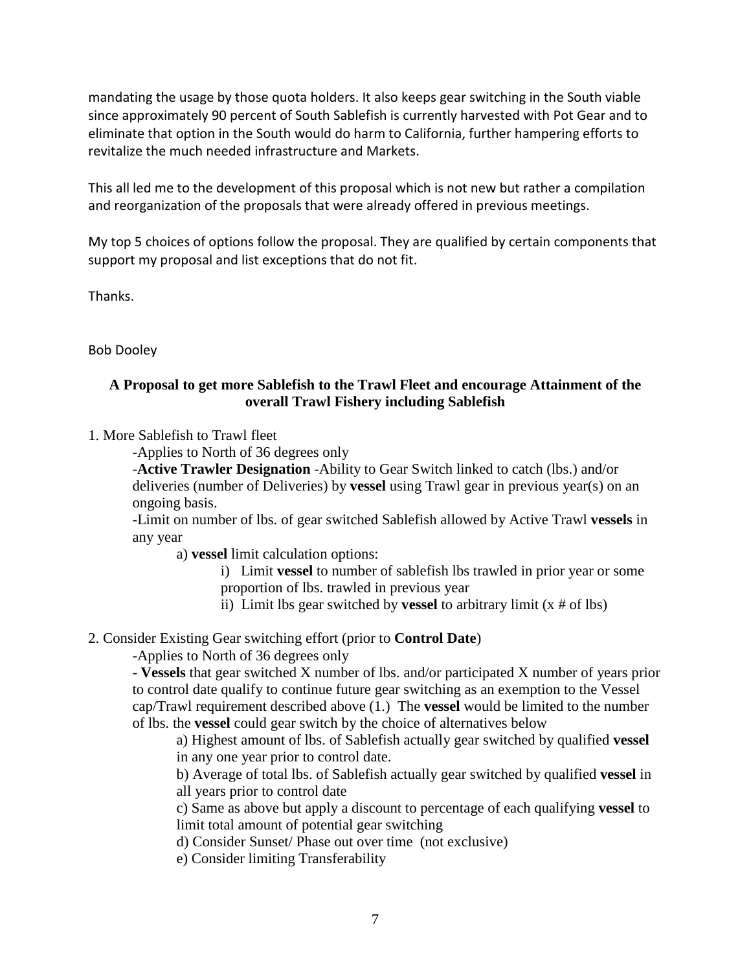mandating the usage by those quota holders. It also keeps gear switching in the South viable since approximately 90 percent of South Sablefish is currently harvested with Pot Gear and to eliminate that option in the South would do harm to California, further hampering efforts to revitalize the much needed infrastructure and Markets.

This all led me to the development of this proposal which is not new but rather a compilation and reorganization of the proposals that were already offered in previous meetings.

My top 5 choices of options follow the proposal. They are qualified by certain components that support my proposal and list exceptions that do not fit.

Thanks.

Bob Dooley

## **A Proposal to get more Sablefish to the Trawl Fleet and encourage Attainment of the overall Trawl Fishery including Sablefish**

1. More Sablefish to Trawl fleet

-Applies to North of 36 degrees only

-**Active Trawler Designation** -Ability to Gear Switch linked to catch (lbs.) and/or deliveries (number of Deliveries) by **vessel** using Trawl gear in previous year(s) on an ongoing basis.

-Limit on number of lbs. of gear switched Sablefish allowed by Active Trawl **vessels** in any year

a) **vessel** limit calculation options:

i) Limit **vessel** to number of sablefish lbs trawled in prior year or some proportion of lbs. trawled in previous year

ii) Limit lbs gear switched by **vessel** to arbitrary limit (x # of lbs)

2. Consider Existing Gear switching effort (prior to **Control Date**)

-Applies to North of 36 degrees only

- **Vessels** that gear switched X number of lbs. and/or participated X number of years prior to control date qualify to continue future gear switching as an exemption to the Vessel cap/Trawl requirement described above (1.) The **vessel** would be limited to the number of lbs. the **vessel** could gear switch by the choice of alternatives below

a) Highest amount of lbs. of Sablefish actually gear switched by qualified **vessel** in any one year prior to control date.

b) Average of total lbs. of Sablefish actually gear switched by qualified **vessel** in all years prior to control date

c) Same as above but apply a discount to percentage of each qualifying **vessel** to limit total amount of potential gear switching

d) Consider Sunset/ Phase out over time (not exclusive)

e) Consider limiting Transferability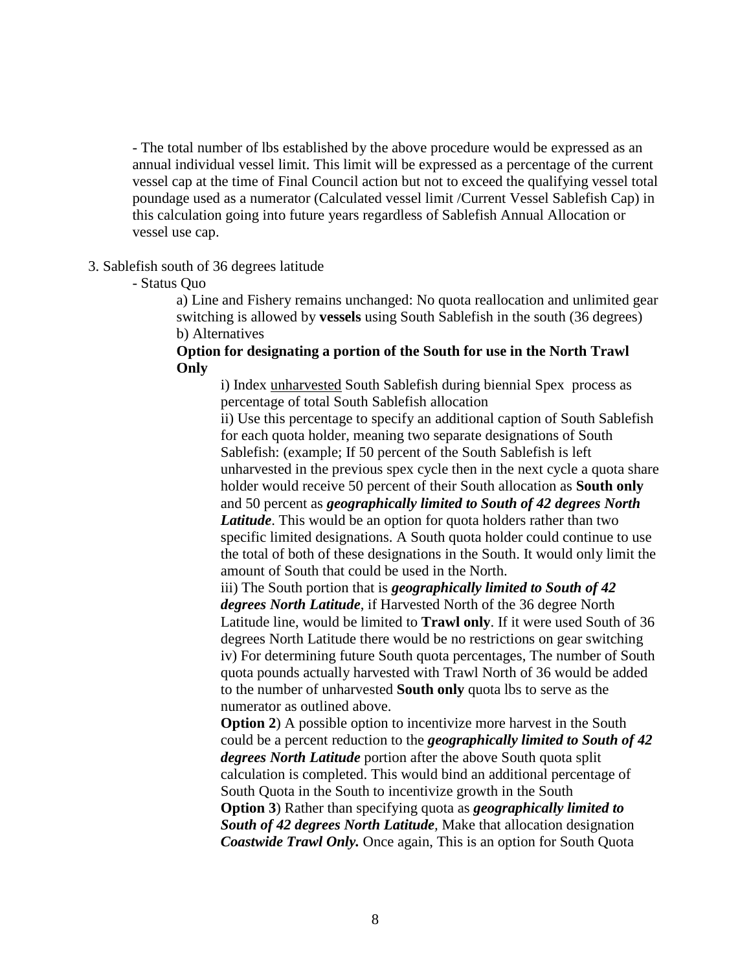- The total number of lbs established by the above procedure would be expressed as an annual individual vessel limit. This limit will be expressed as a percentage of the current vessel cap at the time of Final Council action but not to exceed the qualifying vessel total poundage used as a numerator (Calculated vessel limit /Current Vessel Sablefish Cap) in this calculation going into future years regardless of Sablefish Annual Allocation or vessel use cap.

#### 3. Sablefish south of 36 degrees latitude

- Status Quo

a) Line and Fishery remains unchanged: No quota reallocation and unlimited gear switching is allowed by **vessels** using South Sablefish in the south (36 degrees) b) Alternatives

## **Option for designating a portion of the South for use in the North Trawl Only**

i) Index unharvested South Sablefish during biennial Spex process as percentage of total South Sablefish allocation

ii) Use this percentage to specify an additional caption of South Sablefish for each quota holder, meaning two separate designations of South Sablefish: (example; If 50 percent of the South Sablefish is left unharvested in the previous spex cycle then in the next cycle a quota share holder would receive 50 percent of their South allocation as **South only** and 50 percent as *geographically limited to South of 42 degrees North Latitude*. This would be an option for quota holders rather than two specific limited designations. A South quota holder could continue to use the total of both of these designations in the South. It would only limit the amount of South that could be used in the North.

iii) The South portion that is *geographically limited to South of 42 degrees North Latitude*, if Harvested North of the 36 degree North Latitude line, would be limited to **Trawl only**. If it were used South of 36 degrees North Latitude there would be no restrictions on gear switching iv) For determining future South quota percentages, The number of South quota pounds actually harvested with Trawl North of 36 would be added to the number of unharvested **South only** quota lbs to serve as the numerator as outlined above.

**Option 2**) A possible option to incentivize more harvest in the South could be a percent reduction to the *geographically limited to South of 42 degrees North Latitude* portion after the above South quota split calculation is completed. This would bind an additional percentage of South Quota in the South to incentivize growth in the South **Option 3**) Rather than specifying quota as *geographically limited to South of 42 degrees North Latitude,* Make that allocation designation *Coastwide Trawl Only.* Once again, This is an option for South Quota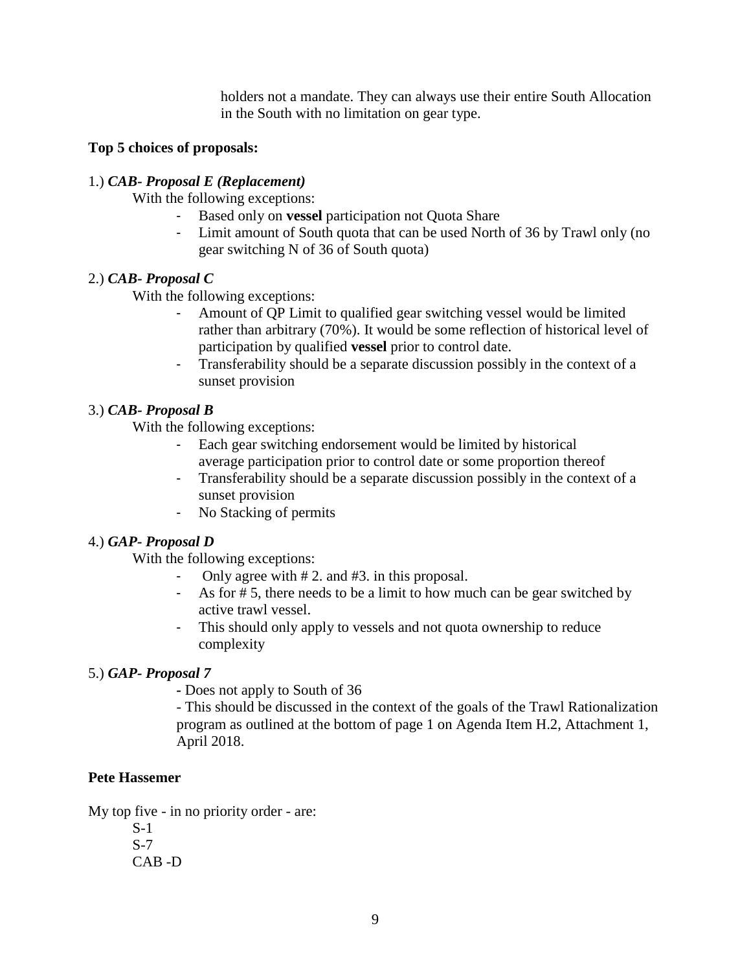holders not a mandate. They can always use their entire South Allocation in the South with no limitation on gear type.

## **Top 5 choices of proposals:**

## 1.) *CAB- Proposal E (Replacement)*

With the following exceptions:

- Based only on **vessel** participation not Quota Share
- Limit amount of South quota that can be used North of 36 by Trawl only (no gear switching N of 36 of South quota)

#### 2.) *CAB- Proposal C*

With the following exceptions:

- Amount of QP Limit to qualified gear switching vessel would be limited rather than arbitrary (70%). It would be some reflection of historical level of participation by qualified **vessel** prior to control date.
- Transferability should be a separate discussion possibly in the context of a sunset provision

## 3.) *CAB- Proposal B*

With the following exceptions:

- Each gear switching endorsement would be limited by historical average participation prior to control date or some proportion thereof
- Transferability should be a separate discussion possibly in the context of a sunset provision
- No Stacking of permits

## 4.) *GAP- Proposal D*

With the following exceptions:

- Only agree with # 2. and #3. in this proposal.
- As for # 5, there needs to be a limit to how much can be gear switched by active trawl vessel.
- This should only apply to vessels and not quota ownership to reduce complexity

## 5.) *GAP- Proposal 7*

*-* Does not apply to South of 36

- This should be discussed in the context of the goals of the Trawl Rationalization program as outlined at the bottom of page 1 on Agenda Item H.2, Attachment 1, April 2018.

## <span id="page-8-0"></span>**Pete Hassemer**

My top five - in no priority order - are:

S-1 S-7 CAB -D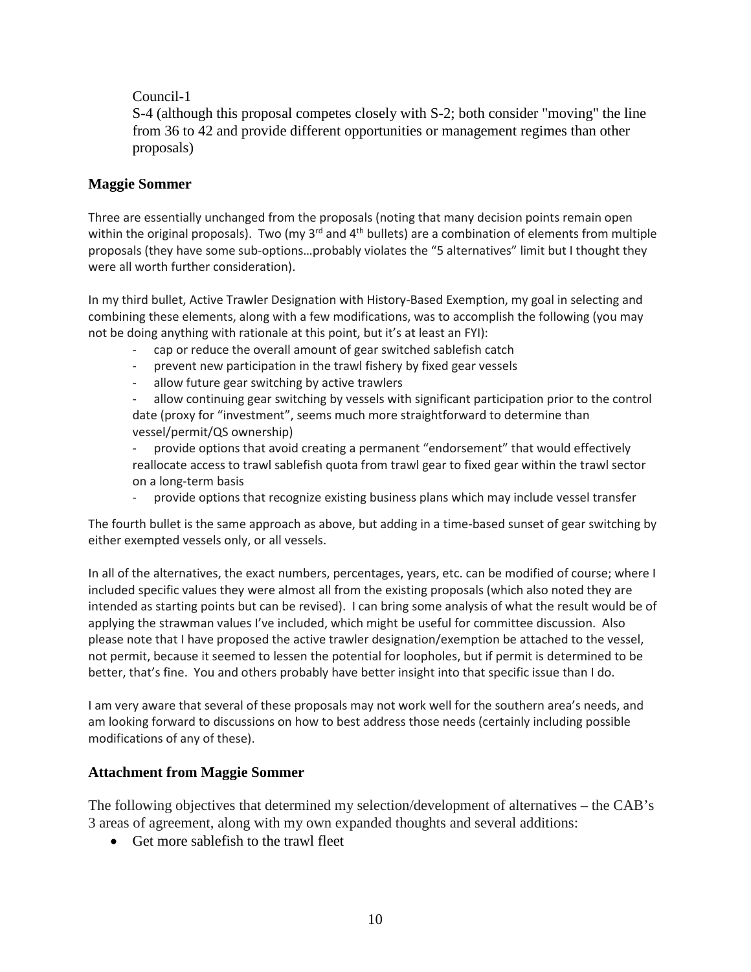## Council-1

S-4 (although this proposal competes closely with S-2; both consider "moving" the line from 36 to 42 and provide different opportunities or management regimes than other proposals)

#### <span id="page-9-0"></span>**Maggie Sommer**

Three are essentially unchanged from the proposals (noting that many decision points remain open within the original proposals). Two (my  $3^{rd}$  and  $4^{th}$  bullets) are a combination of elements from multiple proposals (they have some sub-options…probably violates the "5 alternatives" limit but I thought they were all worth further consideration).

In my third bullet, Active Trawler Designation with History-Based Exemption, my goal in selecting and combining these elements, along with a few modifications, was to accomplish the following (you may not be doing anything with rationale at this point, but it's at least an FYI):

- cap or reduce the overall amount of gear switched sablefish catch
- prevent new participation in the trawl fishery by fixed gear vessels
- allow future gear switching by active trawlers

allow continuing gear switching by vessels with significant participation prior to the control date (proxy for "investment", seems much more straightforward to determine than vessel/permit/QS ownership)

- provide options that avoid creating a permanent "endorsement" that would effectively reallocate access to trawl sablefish quota from trawl gear to fixed gear within the trawl sector on a long-term basis

provide options that recognize existing business plans which may include vessel transfer

The fourth bullet is the same approach as above, but adding in a time-based sunset of gear switching by either exempted vessels only, or all vessels.

In all of the alternatives, the exact numbers, percentages, years, etc. can be modified of course; where I included specific values they were almost all from the existing proposals (which also noted they are intended as starting points but can be revised). I can bring some analysis of what the result would be of applying the strawman values I've included, which might be useful for committee discussion. Also please note that I have proposed the active trawler designation/exemption be attached to the vessel, not permit, because it seemed to lessen the potential for loopholes, but if permit is determined to be better, that's fine. You and others probably have better insight into that specific issue than I do.

I am very aware that several of these proposals may not work well for the southern area's needs, and am looking forward to discussions on how to best address those needs (certainly including possible modifications of any of these).

## **Attachment from Maggie Sommer**

The following objectives that determined my selection/development of alternatives – the CAB's 3 areas of agreement, along with my own expanded thoughts and several additions:

• Get more sable fish to the trawl fleet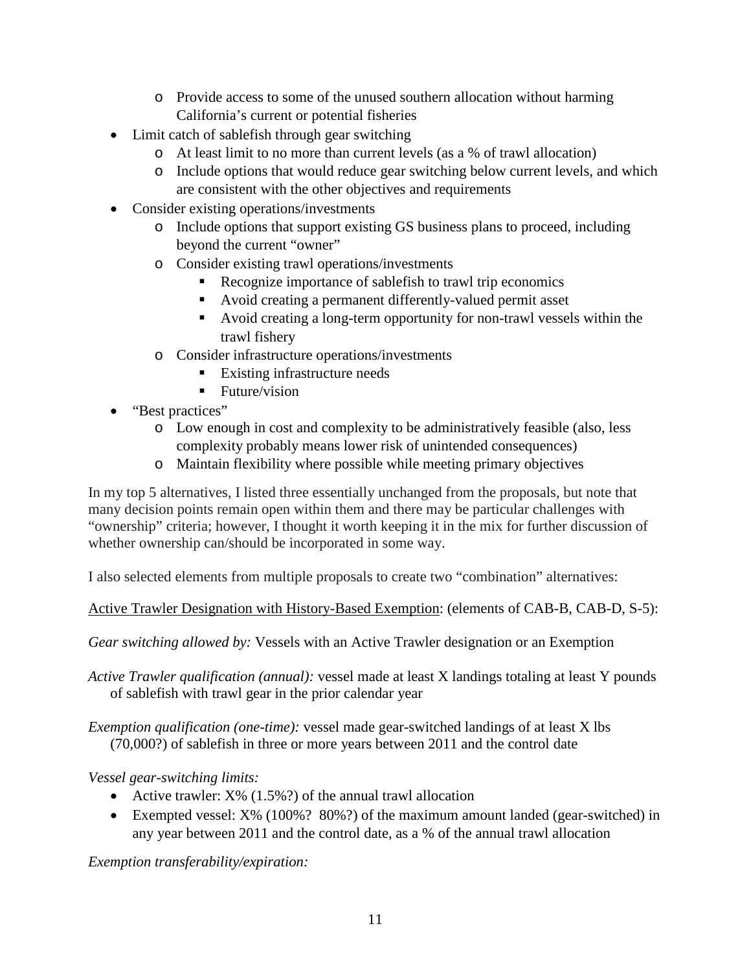- o Provide access to some of the unused southern allocation without harming California's current or potential fisheries
- Limit catch of sablefish through gear switching
	- o At least limit to no more than current levels (as a % of trawl allocation)
	- o Include options that would reduce gear switching below current levels, and which are consistent with the other objectives and requirements
- Consider existing operations/investments
	- o Include options that support existing GS business plans to proceed, including beyond the current "owner"
	- o Consider existing trawl operations/investments
		- Recognize importance of sablefish to trawl trip economics
		- Avoid creating a permanent differently-valued permit asset
		- Avoid creating a long-term opportunity for non-trawl vessels within the trawl fishery
	- o Consider infrastructure operations/investments
		- Existing infrastructure needs
		- $\blacksquare$  Future/vision
- "Best practices"
	- o Low enough in cost and complexity to be administratively feasible (also, less complexity probably means lower risk of unintended consequences)
	- o Maintain flexibility where possible while meeting primary objectives

In my top 5 alternatives, I listed three essentially unchanged from the proposals, but note that many decision points remain open within them and there may be particular challenges with "ownership" criteria; however, I thought it worth keeping it in the mix for further discussion of whether ownership can/should be incorporated in some way.

I also selected elements from multiple proposals to create two "combination" alternatives:

Active Trawler Designation with History-Based Exemption: (elements of CAB-B, CAB-D, S-5):

*Gear switching allowed by:* Vessels with an Active Trawler designation or an Exemption

*Active Trawler qualification (annual):* vessel made at least X landings totaling at least Y pounds of sablefish with trawl gear in the prior calendar year

*Exemption qualification (one-time):* vessel made gear-switched landings of at least X lbs (70,000?) of sablefish in three or more years between 2011 and the control date

*Vessel gear-switching limits:*

- Active trawler:  $X\%$  (1.5%?) of the annual trawl allocation
- Exempted vessel: X% (100%? 80%?) of the maximum amount landed (gear-switched) in any year between 2011 and the control date, as a % of the annual trawl allocation

*Exemption transferability/expiration:*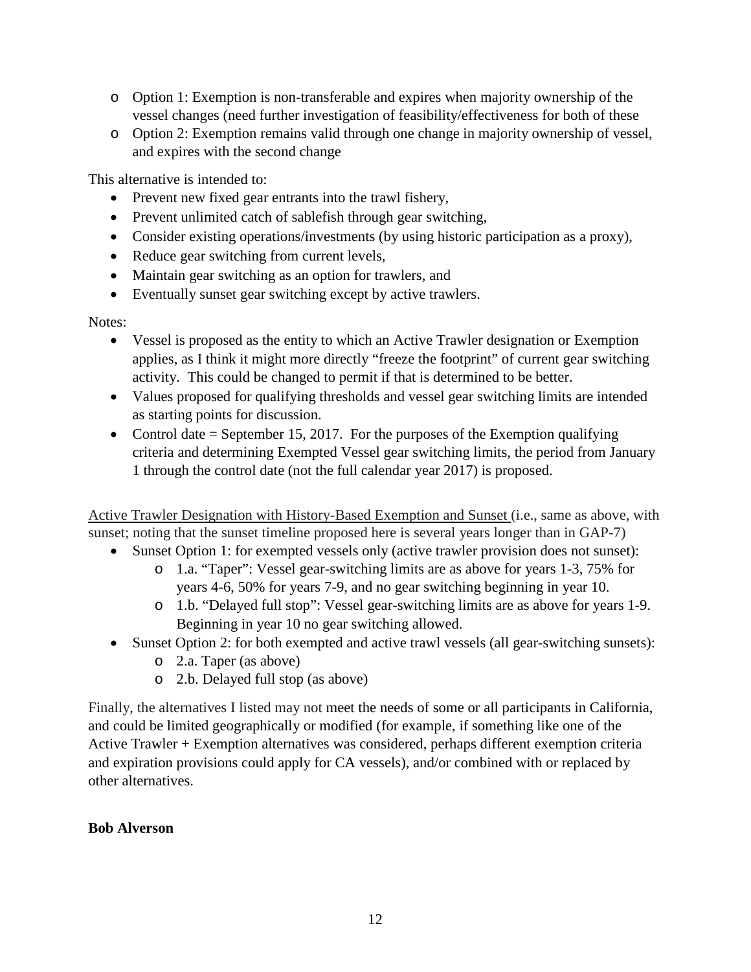- o Option 1: Exemption is non-transferable and expires when majority ownership of the vessel changes (need further investigation of feasibility/effectiveness for both of these
- o Option 2: Exemption remains valid through one change in majority ownership of vessel, and expires with the second change

This alternative is intended to:

- Prevent new fixed gear entrants into the trawl fishery,
- Prevent unlimited catch of sablefish through gear switching,
- Consider existing operations/investments (by using historic participation as a proxy),
- Reduce gear switching from current levels,
- Maintain gear switching as an option for trawlers, and
- Eventually sunset gear switching except by active trawlers.

## Notes:

- Vessel is proposed as the entity to which an Active Trawler designation or Exemption applies, as I think it might more directly "freeze the footprint" of current gear switching activity. This could be changed to permit if that is determined to be better.
- Values proposed for qualifying thresholds and vessel gear switching limits are intended as starting points for discussion.
- Control date  $=$  September 15, 2017. For the purposes of the Exemption qualifying criteria and determining Exempted Vessel gear switching limits, the period from January 1 through the control date (not the full calendar year 2017) is proposed.

Active Trawler Designation with History-Based Exemption and Sunset (i.e., same as above, with sunset; noting that the sunset timeline proposed here is several years longer than in GAP-7)

- Sunset Option 1: for exempted vessels only (active trawler provision does not sunset):
	- o 1.a. "Taper": Vessel gear-switching limits are as above for years 1-3, 75% for years 4-6, 50% for years 7-9, and no gear switching beginning in year 10.
	- o 1.b. "Delayed full stop": Vessel gear-switching limits are as above for years 1-9. Beginning in year 10 no gear switching allowed.
- Sunset Option 2: for both exempted and active trawl vessels (all gear-switching sunsets):
	- o 2.a. Taper (as above)
	- o 2.b. Delayed full stop (as above)

Finally, the alternatives I listed may not meet the needs of some or all participants in California, and could be limited geographically or modified (for example, if something like one of the Active Trawler + Exemption alternatives was considered, perhaps different exemption criteria and expiration provisions could apply for CA vessels), and/or combined with or replaced by other alternatives.

## <span id="page-11-0"></span>**Bob Alverson**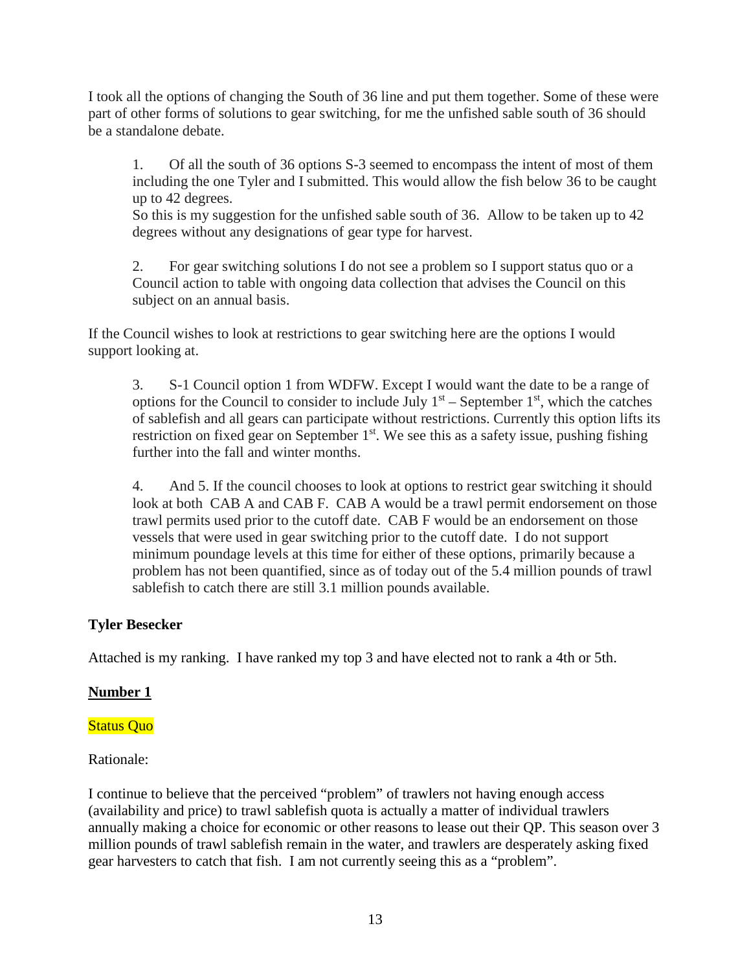I took all the options of changing the South of 36 line and put them together. Some of these were part of other forms of solutions to gear switching, for me the unfished sable south of 36 should be a standalone debate.

1. Of all the south of 36 options S-3 seemed to encompass the intent of most of them including the one Tyler and I submitted. This would allow the fish below 36 to be caught up to 42 degrees.

So this is my suggestion for the unfished sable south of 36. Allow to be taken up to 42 degrees without any designations of gear type for harvest.

2. For gear switching solutions I do not see a problem so I support status quo or a Council action to table with ongoing data collection that advises the Council on this subject on an annual basis.

If the Council wishes to look at restrictions to gear switching here are the options I would support looking at.

3. S-1 Council option 1 from WDFW. Except I would want the date to be a range of options for the Council to consider to include July  $1<sup>st</sup>$  – September  $1<sup>st</sup>$ , which the catches of sablefish and all gears can participate without restrictions. Currently this option lifts its restriction on fixed gear on September 1<sup>st</sup>. We see this as a safety issue, pushing fishing further into the fall and winter months.

4. And 5. If the council chooses to look at options to restrict gear switching it should look at both CAB A and CAB F. CAB A would be a trawl permit endorsement on those trawl permits used prior to the cutoff date. CAB F would be an endorsement on those vessels that were used in gear switching prior to the cutoff date. I do not support minimum poundage levels at this time for either of these options, primarily because a problem has not been quantified, since as of today out of the 5.4 million pounds of trawl sablefish to catch there are still 3.1 million pounds available.

## <span id="page-12-0"></span>**Tyler Besecker**

Attached is my ranking. I have ranked my top 3 and have elected not to rank a 4th or 5th.

## **Number 1**

## Status Quo

## Rationale:

I continue to believe that the perceived "problem" of trawlers not having enough access (availability and price) to trawl sablefish quota is actually a matter of individual trawlers annually making a choice for economic or other reasons to lease out their QP. This season over 3 million pounds of trawl sablefish remain in the water, and trawlers are desperately asking fixed gear harvesters to catch that fish. I am not currently seeing this as a "problem".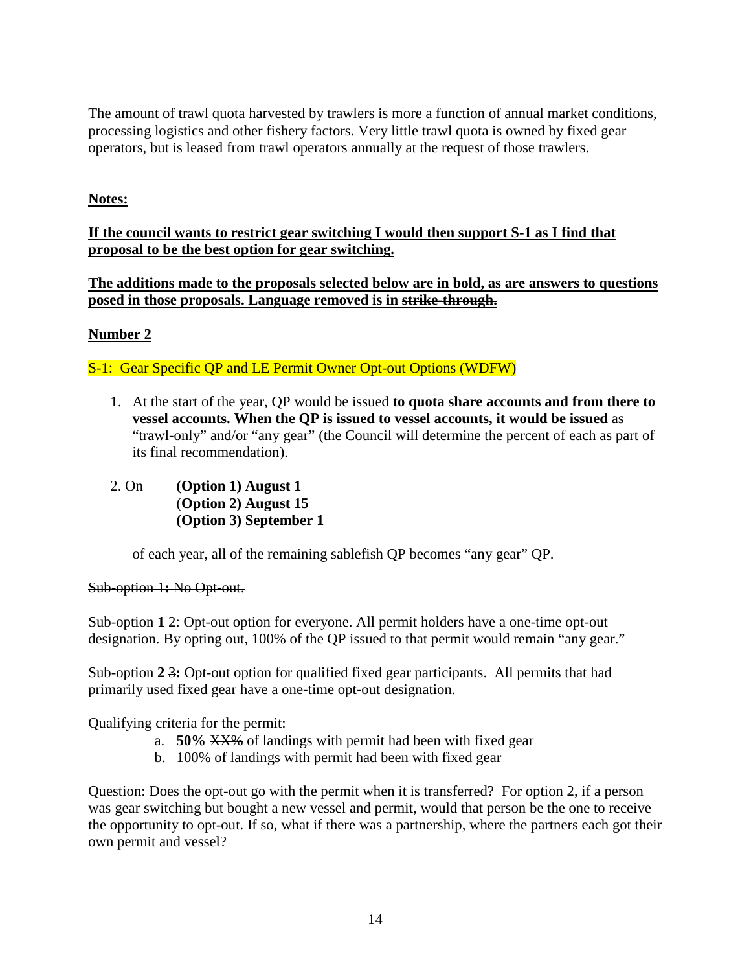The amount of trawl quota harvested by trawlers is more a function of annual market conditions, processing logistics and other fishery factors. Very little trawl quota is owned by fixed gear operators, but is leased from trawl operators annually at the request of those trawlers.

# **Notes:**

## **If the council wants to restrict gear switching I would then support S-1 as I find that proposal to be the best option for gear switching.**

**The additions made to the proposals selected below are in bold, as are answers to questions posed in those proposals. Language removed is in strike-through.**

# **Number 2**

S-1: Gear Specific QP and LE Permit Owner Opt-out Options (WDFW)

- 1. At the start of the year, QP would be issued **to quota share accounts and from there to vessel accounts. When the QP is issued to vessel accounts, it would be issued** as "trawl-only" and/or "any gear" (the Council will determine the percent of each as part of its final recommendation).
- 2. On **(Option 1) August 1** (**Option 2) August 15 (Option 3) September 1**

of each year, all of the remaining sablefish QP becomes "any gear" QP.

## Sub-option 1**:** No Opt-out.

Sub-option **1** 2: Opt-out option for everyone. All permit holders have a one-time opt-out designation. By opting out, 100% of the QP issued to that permit would remain "any gear."

Sub-option **2** 3**:** Opt-out option for qualified fixed gear participants. All permits that had primarily used fixed gear have a one-time opt-out designation.

Qualifying criteria for the permit:

- a. **50%** XX% of landings with permit had been with fixed gear
- b. 100% of landings with permit had been with fixed gear

Question: Does the opt-out go with the permit when it is transferred? For option 2, if a person was gear switching but bought a new vessel and permit, would that person be the one to receive the opportunity to opt-out. If so, what if there was a partnership, where the partners each got their own permit and vessel?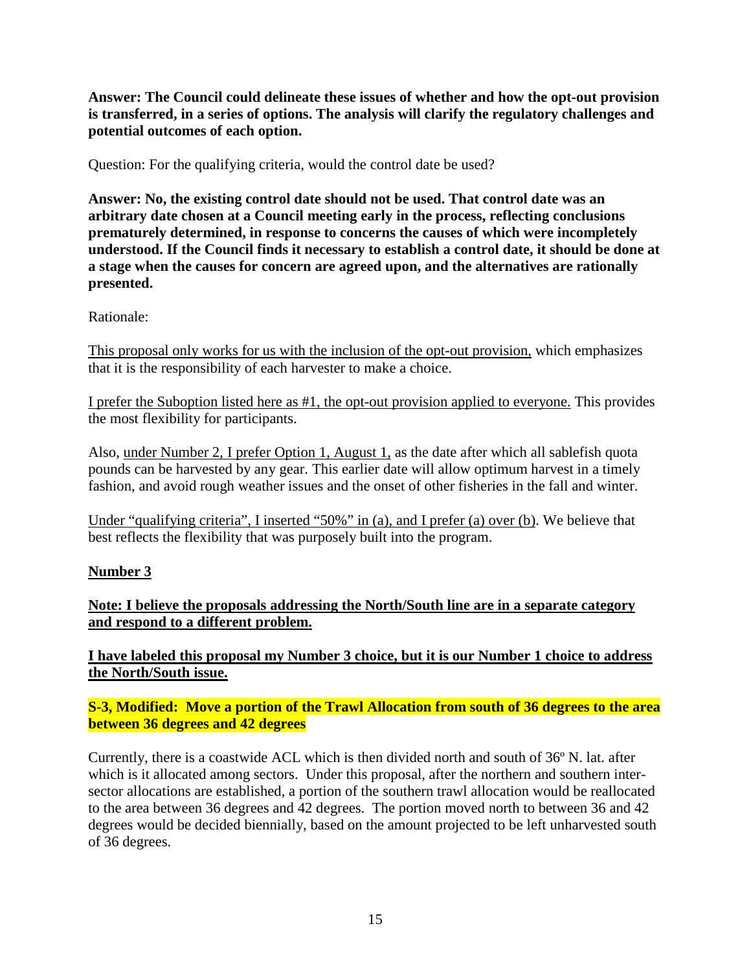**Answer: The Council could delineate these issues of whether and how the opt-out provision is transferred, in a series of options. The analysis will clarify the regulatory challenges and potential outcomes of each option.**

Question: For the qualifying criteria, would the control date be used?

**Answer: No, the existing control date should not be used. That control date was an arbitrary date chosen at a Council meeting early in the process, reflecting conclusions prematurely determined, in response to concerns the causes of which were incompletely understood. If the Council finds it necessary to establish a control date, it should be done at a stage when the causes for concern are agreed upon, and the alternatives are rationally presented.** 

## Rationale:

This proposal only works for us with the inclusion of the opt-out provision, which emphasizes that it is the responsibility of each harvester to make a choice.

I prefer the Suboption listed here as #1, the opt-out provision applied to everyone. This provides the most flexibility for participants.

Also, under Number 2, I prefer Option 1, August 1, as the date after which all sablefish quota pounds can be harvested by any gear. This earlier date will allow optimum harvest in a timely fashion, and avoid rough weather issues and the onset of other fisheries in the fall and winter.

Under "qualifying criteria", I inserted "50%" in (a), and I prefer (a) over (b). We believe that best reflects the flexibility that was purposely built into the program.

#### **Number 3**

**Note: I believe the proposals addressing the North/South line are in a separate category and respond to a different problem.** 

**I have labeled this proposal my Number 3 choice, but it is our Number 1 choice to address the North/South issue.** 

**S-3, Modified: Move a portion of the Trawl Allocation from south of 36 degrees to the area between 36 degrees and 42 degrees**

Currently, there is a coastwide ACL which is then divided north and south of 36º N. lat. after which is it allocated among sectors. Under this proposal, after the northern and southern intersector allocations are established, a portion of the southern trawl allocation would be reallocated to the area between 36 degrees and 42 degrees. The portion moved north to between 36 and 42 degrees would be decided biennially, based on the amount projected to be left unharvested south of 36 degrees.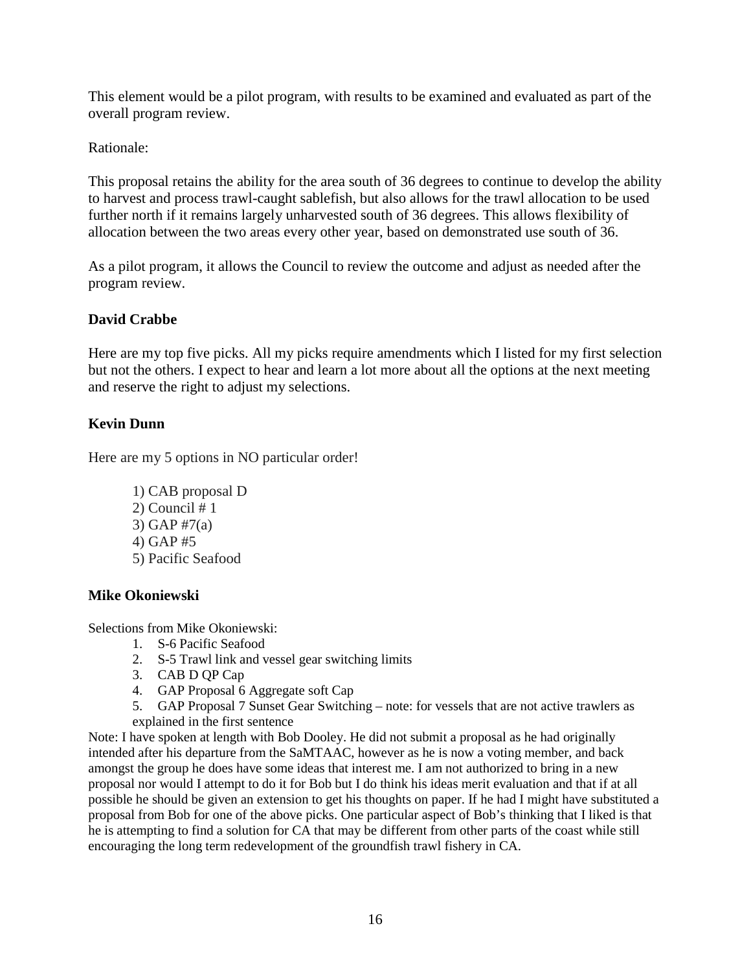This element would be a pilot program, with results to be examined and evaluated as part of the overall program review.

Rationale:

This proposal retains the ability for the area south of 36 degrees to continue to develop the ability to harvest and process trawl-caught sablefish, but also allows for the trawl allocation to be used further north if it remains largely unharvested south of 36 degrees. This allows flexibility of allocation between the two areas every other year, based on demonstrated use south of 36.

As a pilot program, it allows the Council to review the outcome and adjust as needed after the program review.

# <span id="page-15-0"></span>**David Crabbe**

Here are my top five picks. All my picks require amendments which I listed for my first selection but not the others. I expect to hear and learn a lot more about all the options at the next meeting and reserve the right to adjust my selections.

# <span id="page-15-1"></span>**Kevin Dunn**

Here are my 5 options in NO particular order!

1) CAB proposal D  $2)$  Council # 1 3) GAP #7(a) 4) GAP #5 5) Pacific Seafood

## <span id="page-15-2"></span>**Mike Okoniewski**

Selections from Mike Okoniewski:

- 1. S-6 Pacific Seafood
- 2. S-5 Trawl link and vessel gear switching limits
- 3. CAB D QP Cap
- 4. GAP Proposal 6 Aggregate soft Cap
- 5. GAP Proposal 7 Sunset Gear Switching note: for vessels that are not active trawlers as explained in the first sentence

Note: I have spoken at length with Bob Dooley. He did not submit a proposal as he had originally intended after his departure from the SaMTAAC, however as he is now a voting member, and back amongst the group he does have some ideas that interest me. I am not authorized to bring in a new proposal nor would I attempt to do it for Bob but I do think his ideas merit evaluation and that if at all possible he should be given an extension to get his thoughts on paper. If he had I might have substituted a proposal from Bob for one of the above picks. One particular aspect of Bob's thinking that I liked is that he is attempting to find a solution for CA that may be different from other parts of the coast while still encouraging the long term redevelopment of the groundfish trawl fishery in CA.